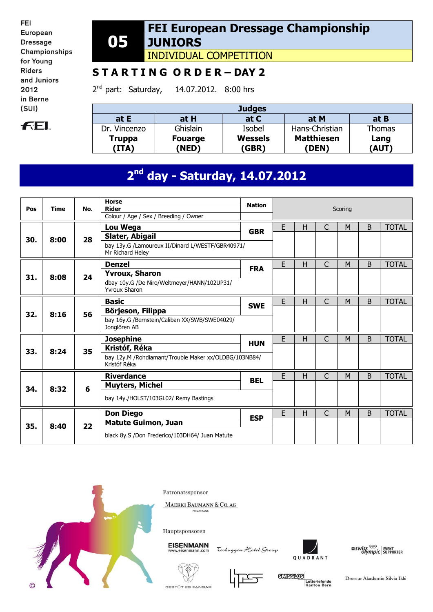FEI European **Dressage** Championships for Young **Riders** and Juniors 2012 in Berne  $(SUI)$ 

# **FEL**

#### **05 FEI European Dressage Championship JUNIORS**

INDIVIDUAL COMPETITION

### **S T A R T I N G O R D E R – DAY 2**

 $2^{nd}$  part: Saturday, 14.07.2012. 8:00 hrs

| <b>Judges</b>          |                         |                         |                            |               |  |  |  |  |  |  |
|------------------------|-------------------------|-------------------------|----------------------------|---------------|--|--|--|--|--|--|
| at E                   | at H                    | at C                    | at M                       | at B          |  |  |  |  |  |  |
| Dr. Vincenzo           | Ghislain                | Isobel                  | Hans-Christian             | Thomas        |  |  |  |  |  |  |
| <b>Truppa</b><br>(ITA) | <b>Fouarge</b><br>(NED) | <b>Wessels</b><br>(GBR) | <b>Matthiesen</b><br>(DEN) | Lang<br>(AUT) |  |  |  |  |  |  |

# **2 nd day - Saturday, 14.07.2012**

| Pos | <b>Time</b> | No. | <b>Horse</b><br><b>Rider</b><br>Colour / Age / Sex / Breeding / Owner                        | <b>Nation</b>                                                                                                                                                                                                              | Scoring      |   |   |   |   |              |
|-----|-------------|-----|----------------------------------------------------------------------------------------------|----------------------------------------------------------------------------------------------------------------------------------------------------------------------------------------------------------------------------|--------------|---|---|---|---|--------------|
| 30. | 8:00        | 28  | Lou Wega<br>Slater, Abigail                                                                  | E<br>H<br>C<br>M<br>B<br><b>GBR</b><br>E<br>C<br>H<br>M<br><sub>B</sub><br><b>FRA</b><br>E<br>C<br>H<br>B<br>M<br><b>SWE</b><br>E<br>C<br>H<br>B<br>M<br><b>TOTAL</b><br><b>HUN</b><br>E<br>H<br>C<br>B<br>M<br><b>BEL</b> | <b>TOTAL</b> |   |   |   |   |              |
|     |             |     | bay 13y.G /Lamoureux II/Dinard L/WESTF/GBR40971/<br>Mr Richard Heley                         |                                                                                                                                                                                                                            |              |   |   |   |   |              |
|     |             |     | <b>Denzel</b>                                                                                |                                                                                                                                                                                                                            |              |   |   |   |   | <b>TOTAL</b> |
| 31. | 8:08        | 24  | <b>Yvroux, Sharon</b><br>dbay 10y.G /De Niro/Weltmeyer/HANN/102UP31/<br><b>Yvroux Sharon</b> |                                                                                                                                                                                                                            |              |   |   |   |   |              |
|     |             |     | <b>Basic</b>                                                                                 |                                                                                                                                                                                                                            |              |   |   |   |   | <b>TOTAL</b> |
| 32. | 8:16        | 56  | Börjeson, Filippa<br>bay 16y.G /Bernstein/Caliban XX/SWB/SWE04029/<br>Jonglören AB           |                                                                                                                                                                                                                            |              |   |   |   |   |              |
|     |             |     | <b>Josephine</b>                                                                             |                                                                                                                                                                                                                            |              |   |   |   |   |              |
| 33. |             | 35  | Kristóf, Réka                                                                                |                                                                                                                                                                                                                            |              |   |   |   |   |              |
|     | 8:24        |     | bay 12y.M /Rohdiamant/Trouble Maker xx/OLDBG/103NB84/<br>Kristóf Réka                        |                                                                                                                                                                                                                            |              |   |   |   |   |              |
|     |             |     | <b>Riverdance</b>                                                                            |                                                                                                                                                                                                                            |              |   |   |   |   | <b>TOTAL</b> |
| 34. | 8:32        | 6   | <b>Muyters, Michel</b>                                                                       |                                                                                                                                                                                                                            |              |   |   |   |   |              |
|     |             |     | bay 14y./HOLST/103GL02/ Remy Bastings                                                        |                                                                                                                                                                                                                            |              |   |   |   |   |              |
|     |             |     | <b>Don Diego</b>                                                                             | <b>ESP</b>                                                                                                                                                                                                                 | E            | H | C | M | B | <b>TOTAL</b> |
| 35. | 8:40        | 22  | <b>Matute Guimon, Juan</b>                                                                   |                                                                                                                                                                                                                            |              |   |   |   |   |              |
|     |             |     | black 8y.S /Don Frederico/103DH64/ Juan Matute                                               |                                                                                                                                                                                                                            |              |   |   |   |   |              |



Patronatssponsor

MAERKI BAUMANN & CO. AG PRIVATBANK



**EISENMANN** 

Tschuggen Hotel Group





**SCHEERING** Lotteriefonds<br>Kanton Bern

QUADRANT

GESTÜT ES FANGAR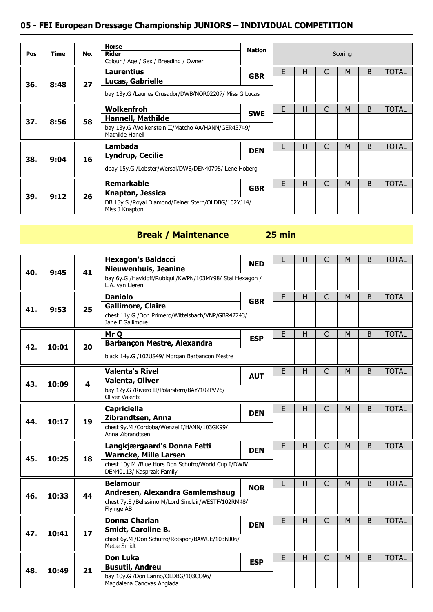### **05 - FEI European Dressage Championship JUNIORS – INDIVIDUAL COMPETITION**

| Pos | Time | No. | <b>Horse</b><br><b>Rider</b><br>Colour / Age / Sex / Breeding / Owner | <b>Nation</b> | Scoring |   |   |                                                                            |   |              |
|-----|------|-----|-----------------------------------------------------------------------|---------------|---------|---|---|----------------------------------------------------------------------------|---|--------------|
|     |      |     | Laurentius<br>Lucas, Gabrielle                                        | <b>GBR</b>    | E       | н | C | B<br><b>TOTAL</b><br>M<br>B<br><b>TOTAL</b><br>M<br>B<br><b>TOTAL</b><br>M |   |              |
| 36. | 8:48 | 27  | bay 13y.G /Lauries Crusador/DWB/NOR02207/ Miss G Lucas                |               |         |   |   |                                                                            | B |              |
|     |      |     | Wolkenfroh                                                            | <b>SWE</b>    | E       | н | C |                                                                            |   |              |
| 37. | 8:56 | 58  | <b>Hannell, Mathilde</b>                                              |               |         |   |   |                                                                            |   |              |
|     |      |     | bay 13y.G /Wolkenstein II/Matcho AA/HANN/GER43749/<br>Mathilde Hanell |               |         |   |   |                                                                            |   |              |
|     |      |     | Lambada                                                               |               | E       | н | C |                                                                            |   |              |
| 38. | 9:04 | 16  | <b>Lyndrup, Cecilie</b>                                               | <b>DEN</b>    |         |   |   |                                                                            |   |              |
|     |      |     | dbay 15y.G /Lobster/Wersal/DWB/DEN40798/ Lene Hoberg                  |               |         |   |   |                                                                            |   |              |
|     |      |     | <b>Remarkable</b>                                                     |               | E       | н | C | M                                                                          |   | <b>TOTAL</b> |
| 39. | 9:12 | 26  | <b>Knapton, Jessica</b>                                               | <b>GBR</b>    |         |   |   |                                                                            |   |              |
|     |      |     | DB 13y.S /Royal Diamond/Feiner Stern/OLDBG/102YJ14/<br>Miss J Knapton |               |         |   |   |                                                                            |   |              |

# **Break / Maintenance 25 min**

|     |       |                         | <b>Hexagon's Baldacci</b>                                                               | <b>NED</b>                                                                | E | H  | $\overline{C}$                                                                                                                                    | M | B            | <b>TOTAL</b> |
|-----|-------|-------------------------|-----------------------------------------------------------------------------------------|---------------------------------------------------------------------------|---|----|---------------------------------------------------------------------------------------------------------------------------------------------------|---|--------------|--------------|
| 40. | 9:45  | 41                      | <b>Nieuwenhuis, Jeanine</b>                                                             |                                                                           |   |    |                                                                                                                                                   |   |              |              |
|     |       |                         | bay 6y.G /Havidoff/Rubiquil/KWPN/103MY98/ Stal Hexagon /<br>L.A. van Lieren             |                                                                           |   |    |                                                                                                                                                   |   |              |              |
|     |       |                         | <b>Daniolo</b>                                                                          | <b>GBR</b>                                                                | E | H. | $\mathsf{C}$                                                                                                                                      | M | B            | <b>TOTAL</b> |
| 41. | 9:53  | 25                      | <b>Gallimore, Claire</b>                                                                |                                                                           |   |    |                                                                                                                                                   |   |              |              |
|     |       |                         | chest 11y.G /Don Primero/Wittelsbach/VNP/GBR42743/<br>Jane F Gallimore                  |                                                                           |   |    |                                                                                                                                                   |   |              |              |
|     |       |                         | Mr Q                                                                                    |                                                                           | E | H  | $\mathsf{C}$                                                                                                                                      | M | B            | <b>TOTAL</b> |
| 42. | 10:01 | 20                      | <b>Barbançon Mestre, Alexandra</b>                                                      |                                                                           |   |    |                                                                                                                                                   |   |              |              |
|     |       |                         | black 14y.G /102US49/ Morgan Barbançon Mestre                                           |                                                                           |   |    | $\mathsf{C}$<br>M<br>B<br>$\overline{C}$<br>M<br>B<br>$\mathsf{C}$<br>B<br>M<br>C<br>M<br>B<br>$\mathsf{C}$<br>M<br>B<br>$\overline{C}$<br>B<br>M |   |              |              |
|     |       |                         | <b>Valenta's Rivel</b>                                                                  |                                                                           | E | H  |                                                                                                                                                   |   | <b>TOTAL</b> |              |
| 43. | 10:09 | $\overline{\mathbf{4}}$ | <b>Valenta, Oliver</b>                                                                  | <b>ESP</b><br><b>AUT</b><br>E<br>H.<br><b>DEN</b><br>E<br>H<br><b>DEN</b> |   |    |                                                                                                                                                   |   |              |              |
|     |       |                         | bay 12y.G /Rivero II/Polarstern/BAY/102PV76/<br>Oliver Valenta                          |                                                                           |   |    |                                                                                                                                                   |   |              |              |
| 44. |       |                         | <b>Capriciella</b>                                                                      |                                                                           |   |    |                                                                                                                                                   |   |              | <b>TOTAL</b> |
|     | 10:17 | 19                      | Zibrandtsen, Anna                                                                       |                                                                           |   |    |                                                                                                                                                   |   |              |              |
|     |       |                         | chest 9y.M /Cordoba/Wenzel I/HANN/103GK99/<br>Anna Zibrandtsen                          |                                                                           |   |    |                                                                                                                                                   |   |              |              |
|     |       |                         | Langkjærgaard's Donna Fetti                                                             |                                                                           |   |    |                                                                                                                                                   |   |              | <b>TOTAL</b> |
| 45. | 10:25 | 18                      | <b>Warncke, Mille Larsen</b>                                                            |                                                                           |   |    |                                                                                                                                                   |   |              |              |
|     |       |                         | chest 10y.M /Blue Hors Don Schufro/World Cup I/DWB/                                     |                                                                           |   |    |                                                                                                                                                   |   |              |              |
|     |       |                         | DEN40113/ Kasprzak Family                                                               |                                                                           |   |    |                                                                                                                                                   |   |              |              |
|     |       |                         | <b>Belamour</b>                                                                         | <b>NOR</b>                                                                |   |    |                                                                                                                                                   |   |              | <b>TOTAL</b> |
| 46. | 10:33 | 44                      | Andresen, Alexandra Gamlemshaug<br>chest 7y.S /Belissimo M/Lord Sinclair/WESTF/102RM48/ | E<br>H                                                                    |   |    |                                                                                                                                                   |   |              |              |
|     |       |                         | Flyinge AB                                                                              |                                                                           |   |    |                                                                                                                                                   |   |              |              |
|     |       |                         | <b>Donna Charian</b>                                                                    | <b>DEN</b>                                                                | E | H  |                                                                                                                                                   |   |              | <b>TOTAL</b> |
| 47. | 10:41 | 17                      | <b>Smidt, Caroline B.</b>                                                               |                                                                           |   |    |                                                                                                                                                   |   |              |              |
|     |       |                         | chest 6y.M /Don Schufro/Rotspon/BAWUE/103NJ06/<br>Mette Smidt                           |                                                                           |   |    |                                                                                                                                                   |   |              |              |
|     |       |                         | <b>Don Luka</b>                                                                         | <b>ESP</b>                                                                | E | H  |                                                                                                                                                   |   |              | <b>TOTAL</b> |
| 48. | 10:49 | 21                      | <b>Busutil, Andreu</b>                                                                  |                                                                           |   |    |                                                                                                                                                   |   |              |              |
|     |       |                         | bay 10y.G /Don Larino/OLDBG/103CO96/<br>Magdalena Canovas Anglada                       |                                                                           |   |    |                                                                                                                                                   |   |              |              |